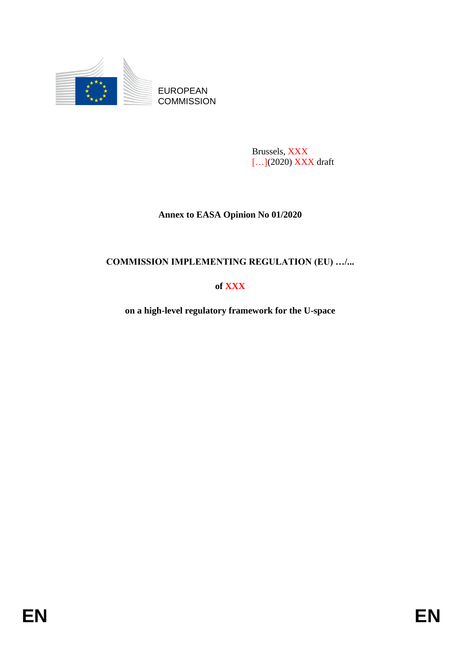

EUROPEAN **COMMISSION** 

> Brussels, XXX […](2020) XXX draft

# **Annex to EASA Opinion No 01/2020**

# **COMMISSION IMPLEMENTING REGULATION (EU) …/...**

**of XXX**

**on a high-level regulatory framework for the U-space**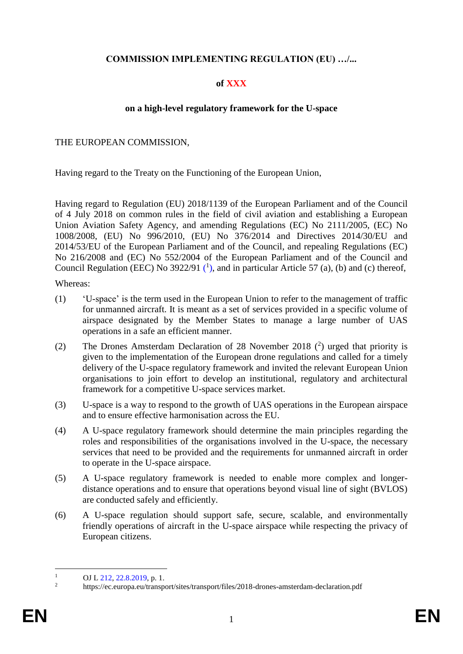# **COMMISSION IMPLEMENTING REGULATION (EU) …/...**

# **of XXX**

### **on a high-level regulatory framework for the U-space**

### THE EUROPEAN COMMISSION,

Having regard to the Treaty on the Functioning of the European Union,

Having regard to Regulation (EU) 2018/1139 of the European Parliament and of the Council of 4 July 2018 on common rules in the field of civil aviation and establishing a European Union Aviation Safety Agency, and amending Regulations (EC) No 2111/2005, (EC) No 1008/2008, (EU) No 996/2010, (EU) No 376/2014 and Directives 2014/30/EU and 2014/53/EU of the European Parliament and of the Council, and repealing Regulations (EC) No 216/2008 and (EC) No 552/2004 of the European Parliament and of the Council and Council Regulation (EEC) No 3922/91  $(1)$ , and in particular Article 57 (a), (b) and (c) thereof,

Whereas:

- (1) 'U-space' is the term used in the European Union to refer to the management of traffic for unmanned aircraft. It is meant as a set of services provided in a specific volume of airspace designated by the Member States to manage a large number of UAS operations in a safe an efficient manner.
- (2) The Drones Amsterdam Declaration of 28 November 2018 ( 2 ) urged that priority is given to the implementation of the European drone regulations and called for a timely delivery of the U-space regulatory framework and invited the relevant European Union organisations to join effort to develop an institutional, regulatory and architectural framework for a competitive U-space services market.
- (3) U-space is a way to respond to the growth of UAS operations in the European airspace and to ensure effective harmonisation across the EU.
- (4) A U-space regulatory framework should determine the main principles regarding the roles and responsibilities of the organisations involved in the U-space, the necessary services that need to be provided and the requirements for unmanned aircraft in order to operate in the U-space airspace.
- (5) A U-space regulatory framework is needed to enable more complex and longerdistance operations and to ensure that operations beyond visual line of sight (BVLOS) are conducted safely and efficiently.
- (6) A U-space regulation should support safe, secure, scalable, and environmentally friendly operations of aircraft in the U-space airspace while respecting the privacy of European citizens.

 $\mathbf{1}$  $\frac{1}{2}$  OJ L 212, 22.8.2019, p. 1.

<sup>2</sup> https://ec.europa.eu/transport/sites/transport/files/2018-drones-amsterdam-declaration.pdf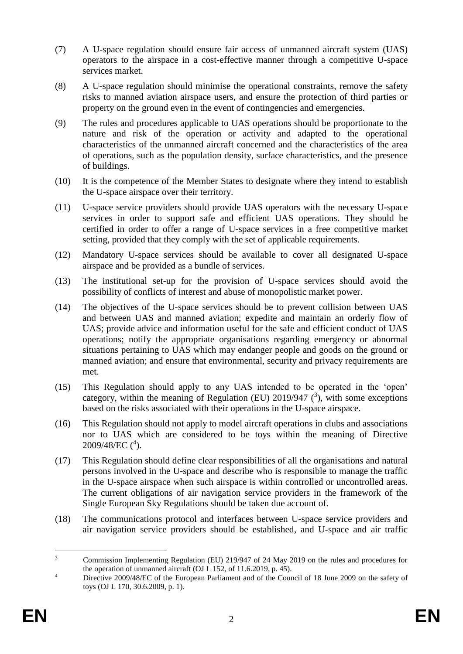- (7) A U-space regulation should ensure fair access of unmanned aircraft system (UAS) operators to the airspace in a cost-effective manner through a competitive U-space services market.
- (8) A U-space regulation should minimise the operational constraints, remove the safety risks to manned aviation airspace users, and ensure the protection of third parties or property on the ground even in the event of contingencies and emergencies.
- (9) The rules and procedures applicable to UAS operations should be proportionate to the nature and risk of the operation or activity and adapted to the operational characteristics of the unmanned aircraft concerned and the characteristics of the area of operations, such as the population density, surface characteristics, and the presence of buildings.
- (10) It is the competence of the Member States to designate where they intend to establish the U-space airspace over their territory.
- (11) U-space service providers should provide UAS operators with the necessary U-space services in order to support safe and efficient UAS operations. They should be certified in order to offer a range of U-space services in a free competitive market setting, provided that they comply with the set of applicable requirements.
- (12) Mandatory U-space services should be available to cover all designated U-space airspace and be provided as a bundle of services.
- (13) The institutional set-up for the provision of U-space services should avoid the possibility of conflicts of interest and abuse of monopolistic market power.
- (14) The objectives of the U-space services should be to prevent collision between UAS and between UAS and manned aviation; expedite and maintain an orderly flow of UAS; provide advice and information useful for the safe and efficient conduct of UAS operations; notify the appropriate organisations regarding emergency or abnormal situations pertaining to UAS which may endanger people and goods on the ground or manned aviation; and ensure that environmental, security and privacy requirements are met.
- (15) This Regulation should apply to any UAS intended to be operated in the 'open' category, within the meaning of Regulation (EU) 2019/947  $(3)$ , with some exceptions based on the risks associated with their operations in the U-space airspace.
- (16) This Regulation should not apply to model aircraft operations in clubs and associations nor to UAS which are considered to be toys within the meaning of Directive 2009/48/EC (<sup>4</sup>).
- (17) This Regulation should define clear responsibilities of all the organisations and natural persons involved in the U-space and describe who is responsible to manage the traffic in the U-space airspace when such airspace is within controlled or uncontrolled areas. The current obligations of air navigation service providers in the framework of the Single European Sky Regulations should be taken due account of.
- (18) The communications protocol and interfaces between U-space service providers and air navigation service providers should be established, and U-space and air traffic

 $\overline{3}$ <sup>3</sup> Commission Implementing Regulation (EU) 219/947 of 24 May 2019 on the rules and procedures for the operation of unmanned aircraft (OJ L 152, of 11.6.2019, p. 45).

<sup>&</sup>lt;sup>4</sup> Directive 2009/48/EC of the European Parliament and of the Council of 18 June 2009 on the safety of toys (OJ L 170, 30.6.2009, p. 1).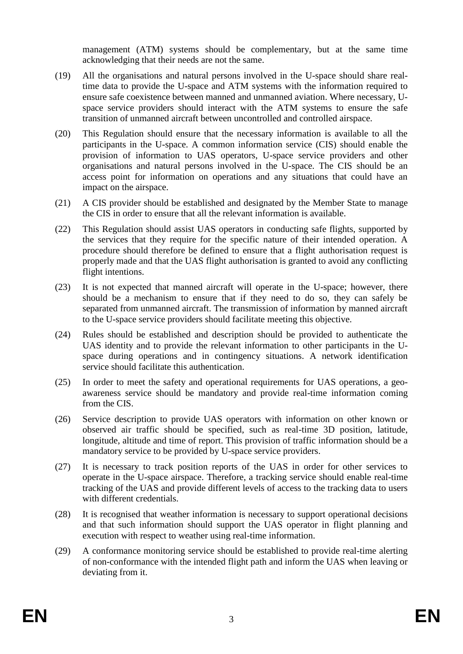management (ATM) systems should be complementary, but at the same time acknowledging that their needs are not the same.

- (19) All the organisations and natural persons involved in the U-space should share realtime data to provide the U-space and ATM systems with the information required to ensure safe coexistence between manned and unmanned aviation. Where necessary, Uspace service providers should interact with the ATM systems to ensure the safe transition of unmanned aircraft between uncontrolled and controlled airspace.
- (20) This Regulation should ensure that the necessary information is available to all the participants in the U-space. A common information service (CIS) should enable the provision of information to UAS operators, U-space service providers and other organisations and natural persons involved in the U-space. The CIS should be an access point for information on operations and any situations that could have an impact on the airspace.
- (21) A CIS provider should be established and designated by the Member State to manage the CIS in order to ensure that all the relevant information is available.
- (22) This Regulation should assist UAS operators in conducting safe flights, supported by the services that they require for the specific nature of their intended operation. A procedure should therefore be defined to ensure that a flight authorisation request is properly made and that the UAS flight authorisation is granted to avoid any conflicting flight intentions.
- (23) It is not expected that manned aircraft will operate in the U-space; however, there should be a mechanism to ensure that if they need to do so, they can safely be separated from unmanned aircraft. The transmission of information by manned aircraft to the U-space service providers should facilitate meeting this objective.
- (24) Rules should be established and description should be provided to authenticate the UAS identity and to provide the relevant information to other participants in the Uspace during operations and in contingency situations. A network identification service should facilitate this authentication.
- (25) In order to meet the safety and operational requirements for UAS operations, a geoawareness service should be mandatory and provide real-time information coming from the CIS.
- (26) Service description to provide UAS operators with information on other known or observed air traffic should be specified, such as real-time 3D position, latitude, longitude, altitude and time of report. This provision of traffic information should be a mandatory service to be provided by U-space service providers.
- (27) It is necessary to track position reports of the UAS in order for other services to operate in the U-space airspace. Therefore, a tracking service should enable real-time tracking of the UAS and provide different levels of access to the tracking data to users with different credentials.
- (28) It is recognised that weather information is necessary to support operational decisions and that such information should support the UAS operator in flight planning and execution with respect to weather using real-time information.
- (29) A conformance monitoring service should be established to provide real-time alerting of non-conformance with the intended flight path and inform the UAS when leaving or deviating from it.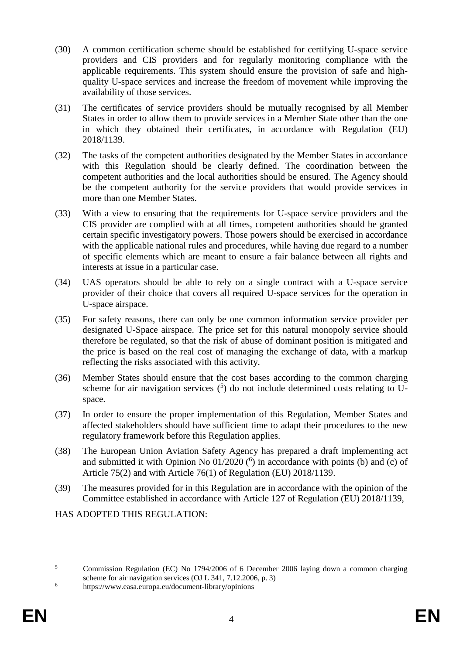- (30) A common certification scheme should be established for certifying U-space service providers and CIS providers and for regularly monitoring compliance with the applicable requirements. This system should ensure the provision of safe and highquality U-space services and increase the freedom of movement while improving the availability of those services.
- (31) The certificates of service providers should be mutually recognised by all Member States in order to allow them to provide services in a Member State other than the one in which they obtained their certificates, in accordance with Regulation (EU) 2018/1139.
- (32) The tasks of the competent authorities designated by the Member States in accordance with this Regulation should be clearly defined. The coordination between the competent authorities and the local authorities should be ensured. The Agency should be the competent authority for the service providers that would provide services in more than one Member States.
- (33) With a view to ensuring that the requirements for U-space service providers and the CIS provider are complied with at all times, competent authorities should be granted certain specific investigatory powers. Those powers should be exercised in accordance with the applicable national rules and procedures, while having due regard to a number of specific elements which are meant to ensure a fair balance between all rights and interests at issue in a particular case.
- (34) UAS operators should be able to rely on a single contract with a U-space service provider of their choice that covers all required U-space services for the operation in U-space airspace.
- (35) For safety reasons, there can only be one common information service provider per designated U-Space airspace. The price set for this natural monopoly service should therefore be regulated, so that the risk of abuse of dominant position is mitigated and the price is based on the real cost of managing the exchange of data, with a markup reflecting the risks associated with this activity.
- (36) Member States should ensure that the cost bases according to the common charging scheme for air navigation services  $(5)$  do not include determined costs relating to Uspace.
- (37) In order to ensure the proper implementation of this Regulation, Member States and affected stakeholders should have sufficient time to adapt their procedures to the new regulatory framework before this Regulation applies.
- (38) The European Union Aviation Safety Agency has prepared a draft implementing act and submitted it with Opinion No  $01/2020$  ( $^6$ ) in accordance with points (b) and (c) of Article 75(2) and with Article 76(1) of Regulation (EU) 2018/1139.
- (39) The measures provided for in this Regulation are in accordance with the opinion of the Committee established in accordance with Article 127 of Regulation (EU) 2018/1139,

HAS ADOPTED THIS REGULATION:

 $\overline{5}$ <sup>5</sup> Commission Regulation (EC) No 1794/2006 of 6 December 2006 laying down a common charging scheme for air navigation services (OJ L 341, 7.12.2006, p. 3)

<sup>6</sup> https://www.easa.europa.eu/document-library/opinions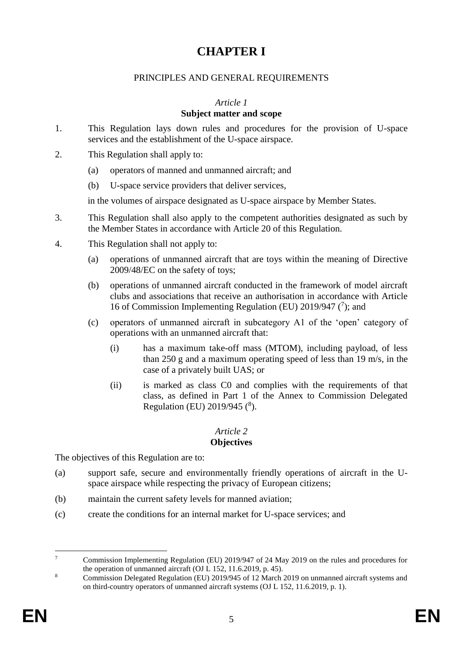# **CHAPTER I**

### PRINCIPLES AND GENERAL REQUIREMENTS

#### *Article 1*

### **Subject matter and scope**

- 1. This Regulation lays down rules and procedures for the provision of U-space services and the establishment of the U-space airspace.
- 2. This Regulation shall apply to:
	- (a) operators of manned and unmanned aircraft; and
	- (b) U-space service providers that deliver services,

in the volumes of airspace designated as U-space airspace by Member States.

- 3. This Regulation shall also apply to the competent authorities designated as such by the Member States in accordance with Article 20 of this Regulation.
- 4. This Regulation shall not apply to:
	- (a) operations of unmanned aircraft that are toys within the meaning of Directive 2009/48/EC on the safety of toys;
	- (b) operations of unmanned aircraft conducted in the framework of model aircraft clubs and associations that receive an authorisation in accordance with Article 16 of Commission Implementing Regulation (EU) 2019/947  $(7)$ ; and
	- (c) operators of unmanned aircraft in subcategory A1 of the 'open' category of operations with an unmanned aircraft that:
		- (i) has a maximum take-off mass (MTOM), including payload, of less than 250 g and a maximum operating speed of less than 19 m/s, in the case of a privately built UAS; or
		- (ii) is marked as class C0 and complies with the requirements of that class, as defined in Part 1 of the Annex to Commission Delegated Regulation (EU) 2019/945 (<sup>8</sup>).

# *Article 2*

### **Objectives**

The objectives of this Regulation are to:

- (a) support safe, secure and environmentally friendly operations of aircraft in the Uspace airspace while respecting the privacy of European citizens;
- (b) maintain the current safety levels for manned aviation;
- (c) create the conditions for an internal market for U-space services; and

 $\overline{7}$ <sup>7</sup> Commission Implementing Regulation (EU) 2019/947 of 24 May 2019 on the rules and procedures for the operation of unmanned aircraft (OJ L 152, 11.6.2019, p. 45).

<sup>&</sup>lt;sup>8</sup> Commission Delegated Regulation (EU) 2019/945 of 12 March 2019 on unmanned aircraft systems and on third-country operators of unmanned aircraft systems (OJ L 152, 11.6.2019, p. 1).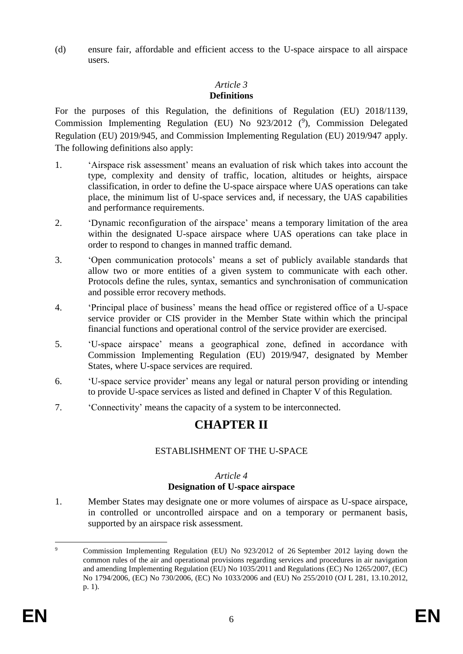(d) ensure fair, affordable and efficient access to the U-space airspace to all airspace users.

# *Article 3*

### **Definitions**

For the purposes of this Regulation, the definitions of Regulation (EU) 2018/1139, Commission Implementing Regulation (EU) No 923/2012 (9), Commission Delegated Regulation (EU) 2019/945, and Commission Implementing Regulation (EU) 2019/947 apply. The following definitions also apply:

- 1. 'Airspace risk assessment' means an evaluation of risk which takes into account the type, complexity and density of traffic, location, altitudes or heights, airspace classification, in order to define the U-space airspace where UAS operations can take place, the minimum list of U-space services and, if necessary, the UAS capabilities and performance requirements.
- 2. 'Dynamic reconfiguration of the airspace' means a temporary limitation of the area within the designated U-space airspace where UAS operations can take place in order to respond to changes in manned traffic demand.
- 3. 'Open communication protocols' means a set of publicly available standards that allow two or more entities of a given system to communicate with each other. Protocols define the rules, syntax, semantics and synchronisation of communication and possible error recovery methods.
- 4. 'Principal place of business' means the head office or registered office of a U-space service provider or CIS provider in the Member State within which the principal financial functions and operational control of the service provider are exercised.
- 5. 'U-space airspace' means a geographical zone, defined in accordance with Commission Implementing Regulation (EU) 2019/947, designated by Member States, where U-space services are required.
- 6. 'U-space service provider' means any legal or natural person providing or intending to provide U-space services as listed and defined in Chapter V of this Regulation.
- 7. 'Connectivity' means the capacity of a system to be interconnected.

# **CHAPTER II**

# ESTABLISHMENT OF THE U-SPACE

#### *Article 4* **Designation of U-space airspace**

1. Member States may designate one or more volumes of airspace as U-space airspace, in controlled or uncontrolled airspace and on a temporary or permanent basis, supported by an airspace risk assessment.

 $\overline{9}$ <sup>9</sup> Commission Implementing Regulation (EU) No 923/2012 of 26 September 2012 laying down the common rules of the air and operational provisions regarding services and procedures in air navigation and amending Implementing Regulation (EU) No 1035/2011 and Regulations (EC) No 1265/2007, (EC) No 1794/2006, (EC) No 730/2006, (EC) No 1033/2006 and (EU) No 255/2010 (OJ L 281, 13.10.2012, p. 1).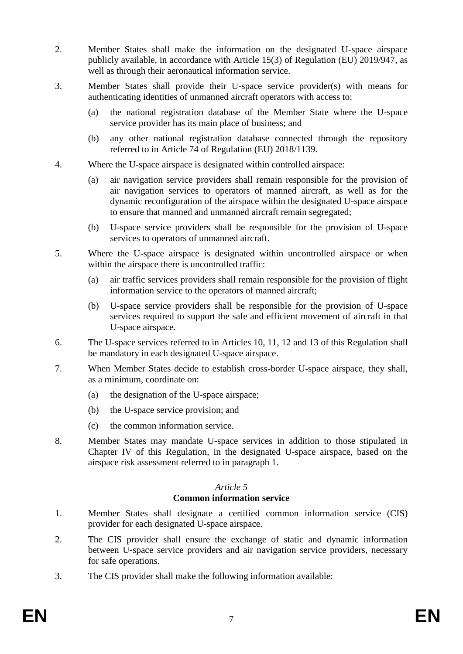- 2. Member States shall make the information on the designated U-space airspace publicly available, in accordance with Article 15(3) of Regulation (EU) 2019/947, as well as through their aeronautical information service.
- 3. Member States shall provide their U-space service provider(s) with means for authenticating identities of unmanned aircraft operators with access to:
	- (a) the national registration database of the Member State where the U-space service provider has its main place of business; and
	- (b) any other national registration database connected through the repository referred to in Article 74 of Regulation (EU) 2018/1139.
- 4. Where the U-space airspace is designated within controlled airspace:
	- (a) air navigation service providers shall remain responsible for the provision of air navigation services to operators of manned aircraft, as well as for the dynamic reconfiguration of the airspace within the designated U-space airspace to ensure that manned and unmanned aircraft remain segregated;
	- (b) U-space service providers shall be responsible for the provision of U-space services to operators of unmanned aircraft.
- 5. Where the U-space airspace is designated within uncontrolled airspace or when within the airspace there is uncontrolled traffic:
	- (a) air traffic services providers shall remain responsible for the provision of flight information service to the operators of manned aircraft;
	- (b) U-space service providers shall be responsible for the provision of U-space services required to support the safe and efficient movement of aircraft in that U-space airspace.
- 6. The U-space services referred to in Articles 10, 11, 12 and 13 of this Regulation shall be mandatory in each designated U-space airspace.
- 7. When Member States decide to establish cross-border U-space airspace, they shall, as a minimum, coordinate on:
	- (a) the designation of the U-space airspace;
	- (b) the U-space service provision; and
	- (c) the common information service.
- 8. Member States may mandate U-space services in addition to those stipulated in Chapter IV of this Regulation, in the designated U-space airspace, based on the airspace risk assessment referred to in paragraph 1.

# **Common information service**

- 1. Member States shall designate a certified common information service (CIS) provider for each designated U-space airspace.
- 2. The CIS provider shall ensure the exchange of static and dynamic information between U-space service providers and air navigation service providers, necessary for safe operations.
- 3. The CIS provider shall make the following information available: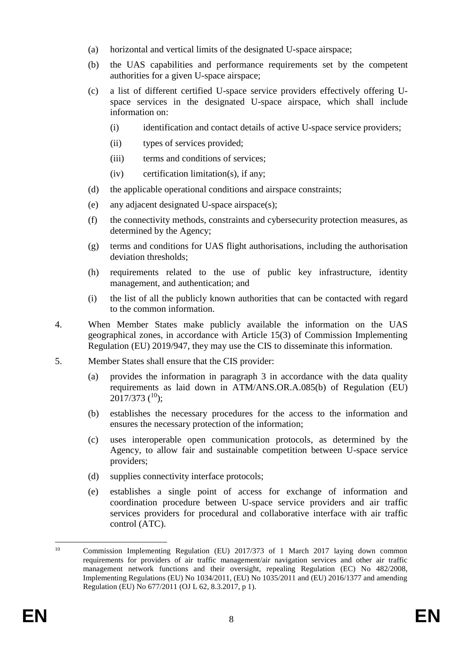- (a) horizontal and vertical limits of the designated U-space airspace;
- (b) the UAS capabilities and performance requirements set by the competent authorities for a given U-space airspace;
- (c) a list of different certified U-space service providers effectively offering Uspace services in the designated U-space airspace, which shall include information on:
	- (i) identification and contact details of active U-space service providers;
	- (ii) types of services provided;
	- (iii) terms and conditions of services;
	- $(iv)$  certification limitation(s), if any;
- (d) the applicable operational conditions and airspace constraints;
- (e) any adjacent designated U-space airspace(s);
- (f) the connectivity methods, constraints and cybersecurity protection measures, as determined by the Agency;
- (g) terms and conditions for UAS flight authorisations, including the authorisation deviation thresholds;
- (h) requirements related to the use of public key infrastructure, identity management, and authentication; and
- (i) the list of all the publicly known authorities that can be contacted with regard to the common information.
- 4. When Member States make publicly available the information on the UAS geographical zones, in accordance with Article 15(3) of Commission Implementing Regulation (EU) 2019/947, they may use the CIS to disseminate this information.
- 5. Member States shall ensure that the CIS provider:
	- (a) provides the information in paragraph 3 in accordance with the data quality requirements as laid down in ATM/ANS.OR.A.085(b) of Regulation (EU)  $2017/373$  (<sup>10</sup>);
	- (b) establishes the necessary procedures for the access to the information and ensures the necessary protection of the information;
	- (c) uses interoperable open communication protocols, as determined by the Agency, to allow fair and sustainable competition between U-space service providers;
	- (d) supplies connectivity interface protocols;
	- (e) establishes a single point of access for exchange of information and coordination procedure between U-space service providers and air traffic services providers for procedural and collaborative interface with air traffic control (ATC).

 $10<sup>10</sup>$ <sup>10</sup> Commission Implementing Regulation (EU) 2017/373 of 1 March 2017 laying down common requirements for providers of air traffic management/air navigation services and other air traffic management network functions and their oversight, repealing Regulation (EC) No 482/2008, Implementing Regulations (EU) No 1034/2011, (EU) No 1035/2011 and (EU) 2016/1377 and amending Regulation (EU) No 677/2011 (OJ L 62, 8.3.2017, p 1).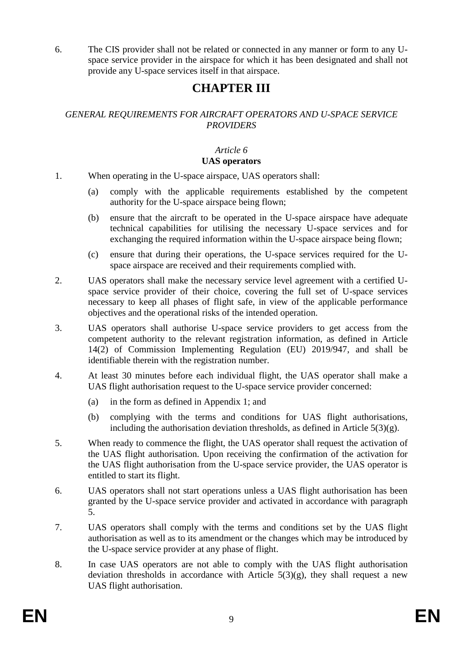6. The CIS provider shall not be related or connected in any manner or form to any Uspace service provider in the airspace for which it has been designated and shall not provide any U-space services itself in that airspace.

# **CHAPTER III**

# *GENERAL REQUIREMENTS FOR AIRCRAFT OPERATORS AND U-SPACE SERVICE PROVIDERS*

# *Article 6*

### **UAS operators**

1. When operating in the U-space airspace, UAS operators shall:

- (a) comply with the applicable requirements established by the competent authority for the U-space airspace being flown;
- (b) ensure that the aircraft to be operated in the U-space airspace have adequate technical capabilities for utilising the necessary U-space services and for exchanging the required information within the U-space airspace being flown;
- (c) ensure that during their operations, the U-space services required for the Uspace airspace are received and their requirements complied with.
- 2. UAS operators shall make the necessary service level agreement with a certified Uspace service provider of their choice, covering the full set of U-space services necessary to keep all phases of flight safe, in view of the applicable performance objectives and the operational risks of the intended operation.
- 3. UAS operators shall authorise U-space service providers to get access from the competent authority to the relevant registration information, as defined in Article 14(2) of Commission Implementing Regulation (EU) 2019/947, and shall be identifiable therein with the registration number.
- 4. At least 30 minutes before each individual flight, the UAS operator shall make a UAS flight authorisation request to the U-space service provider concerned:
	- (a) in the form as defined in Appendix 1; and
	- (b) complying with the terms and conditions for UAS flight authorisations, including the authorisation deviation thresholds, as defined in Article  $5(3)(g)$ .
- 5. When ready to commence the flight, the UAS operator shall request the activation of the UAS flight authorisation. Upon receiving the confirmation of the activation for the UAS flight authorisation from the U-space service provider, the UAS operator is entitled to start its flight.
- 6. UAS operators shall not start operations unless a UAS flight authorisation has been granted by the U-space service provider and activated in accordance with paragraph 5.
- 7. UAS operators shall comply with the terms and conditions set by the UAS flight authorisation as well as to its amendment or the changes which may be introduced by the U-space service provider at any phase of flight.
- 8. In case UAS operators are not able to comply with the UAS flight authorisation deviation thresholds in accordance with Article  $5(3)(g)$ , they shall request a new UAS flight authorisation.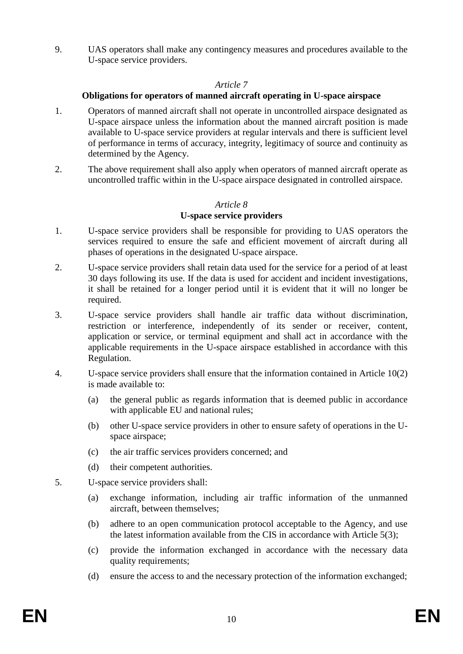9. UAS operators shall make any contingency measures and procedures available to the U-space service providers.

#### *Article 7*

### **Obligations for operators of manned aircraft operating in U-space airspace**

- 1. Operators of manned aircraft shall not operate in uncontrolled airspace designated as U-space airspace unless the information about the manned aircraft position is made available to U-space service providers at regular intervals and there is sufficient level of performance in terms of accuracy, integrity, legitimacy of source and continuity as determined by the Agency.
- 2. The above requirement shall also apply when operators of manned aircraft operate as uncontrolled traffic within in the U-space airspace designated in controlled airspace.

# *Article 8* **U-space service providers**

- 1. U-space service providers shall be responsible for providing to UAS operators the services required to ensure the safe and efficient movement of aircraft during all phases of operations in the designated U-space airspace.
- 2. U-space service providers shall retain data used for the service for a period of at least 30 days following its use. If the data is used for accident and incident investigations, it shall be retained for a longer period until it is evident that it will no longer be required.
- 3. U-space service providers shall handle air traffic data without discrimination, restriction or interference, independently of its sender or receiver, content, application or service, or terminal equipment and shall act in accordance with the applicable requirements in the U-space airspace established in accordance with this Regulation.
- 4. U-space service providers shall ensure that the information contained in Article 10(2) is made available to:
	- (a) the general public as regards information that is deemed public in accordance with applicable EU and national rules;
	- (b) other U-space service providers in other to ensure safety of operations in the Uspace airspace;
	- (c) the air traffic services providers concerned; and
	- (d) their competent authorities.
- 5. U-space service providers shall:
	- (a) exchange information, including air traffic information of the unmanned aircraft, between themselves;
	- (b) adhere to an open communication protocol acceptable to the Agency, and use the latest information available from the CIS in accordance with Article 5(3);
	- (c) provide the information exchanged in accordance with the necessary data quality requirements;
	- (d) ensure the access to and the necessary protection of the information exchanged;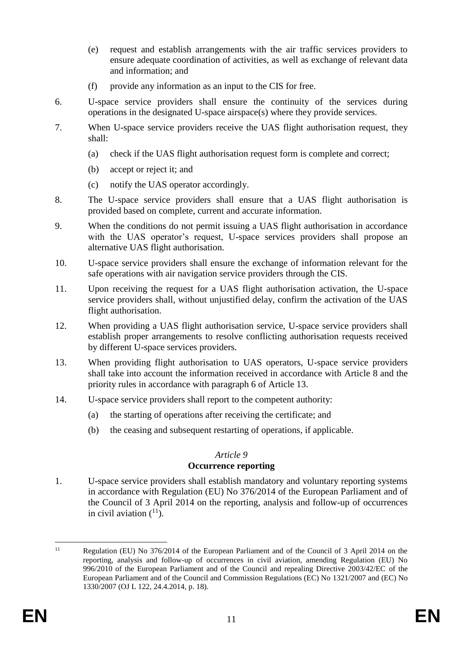- (e) request and establish arrangements with the air traffic services providers to ensure adequate coordination of activities, as well as exchange of relevant data and information; and
- (f) provide any information as an input to the CIS for free.
- 6. U-space service providers shall ensure the continuity of the services during operations in the designated U-space airspace(s) where they provide services.
- 7. When U-space service providers receive the UAS flight authorisation request, they shall:
	- (a) check if the UAS flight authorisation request form is complete and correct;
	- (b) accept or reject it; and
	- (c) notify the UAS operator accordingly.
- 8. The U-space service providers shall ensure that a UAS flight authorisation is provided based on complete, current and accurate information.
- 9. When the conditions do not permit issuing a UAS flight authorisation in accordance with the UAS operator's request, U-space services providers shall propose an alternative UAS flight authorisation.
- 10. U-space service providers shall ensure the exchange of information relevant for the safe operations with air navigation service providers through the CIS.
- 11. Upon receiving the request for a UAS flight authorisation activation, the U-space service providers shall, without unjustified delay, confirm the activation of the UAS flight authorisation.
- 12. When providing a UAS flight authorisation service, U-space service providers shall establish proper arrangements to resolve conflicting authorisation requests received by different U-space services providers.
- 13. When providing flight authorisation to UAS operators, U-space service providers shall take into account the information received in accordance with Article 8 and the priority rules in accordance with paragraph 6 of Article 13.
- 14. U-space service providers shall report to the competent authority:
	- (a) the starting of operations after receiving the certificate; and
	- (b) the ceasing and subsequent restarting of operations, if applicable.

# **Occurrence reporting**

1. U-space service providers shall establish mandatory and voluntary reporting systems in accordance with Regulation (EU) No 376/2014 of the European Parliament and of the Council of 3 April 2014 on the reporting, analysis and follow-up of occurrences in civil aviation  $(^{11})$ .

 $11$ Regulation (EU) No 376/2014 of the European Parliament and of the Council of 3 April 2014 on the reporting, analysis and follow-up of occurrences in civil aviation, amending Regulation (EU) No 996/2010 of the European Parliament and of the Council and repealing Directive 2003/42/EC of the European Parliament and of the Council and Commission Regulations (EC) No 1321/2007 and (EC) No 1330/2007 (OJ L 122, 24.4.2014, p. 18).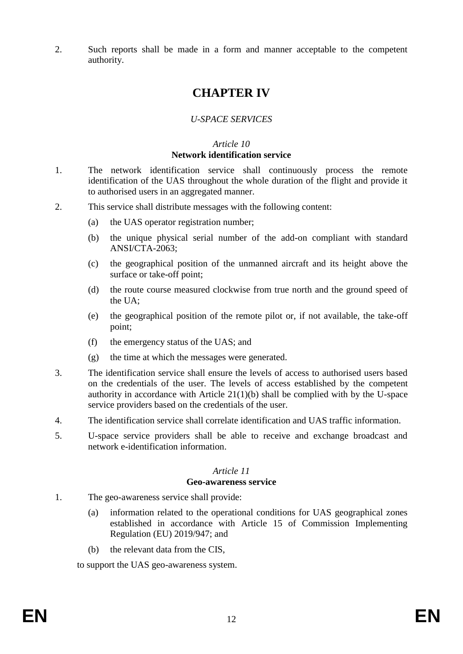2. Such reports shall be made in a form and manner acceptable to the competent authority.

# **CHAPTER IV**

# *U-SPACE SERVICES*

# *Article 10*

### **Network identification service**

- 1. The network identification service shall continuously process the remote identification of the UAS throughout the whole duration of the flight and provide it to authorised users in an aggregated manner.
- 2. This service shall distribute messages with the following content:
	- (a) the UAS operator registration number;
	- (b) the unique physical serial number of the add-on compliant with standard ANSI/CTA-2063;
	- (c) the geographical position of the unmanned aircraft and its height above the surface or take-off point;
	- (d) the route course measured clockwise from true north and the ground speed of the UA;
	- (e) the geographical position of the remote pilot or, if not available, the take-off point;
	- (f) the emergency status of the UAS; and
	- (g) the time at which the messages were generated.
- 3. The identification service shall ensure the levels of access to authorised users based on the credentials of the user. The levels of access established by the competent authority in accordance with Article  $21(1)(b)$  shall be complied with by the U-space service providers based on the credentials of the user.
- 4. The identification service shall correlate identification and UAS traffic information.
- 5. U-space service providers shall be able to receive and exchange broadcast and network e-identification information.

# *Article 11*

### **Geo-awareness service**

- 1. The geo-awareness service shall provide:
	- (a) information related to the operational conditions for UAS geographical zones established in accordance with Article 15 of Commission Implementing Regulation (EU) 2019/947; and
	- (b) the relevant data from the CIS,

to support the UAS geo-awareness system.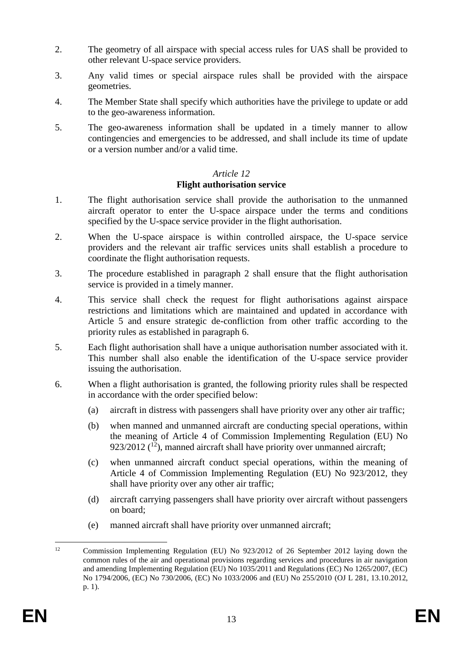- 2. The geometry of all airspace with special access rules for UAS shall be provided to other relevant U-space service providers.
- 3. Any valid times or special airspace rules shall be provided with the airspace geometries.
- 4. The Member State shall specify which authorities have the privilege to update or add to the geo-awareness information.
- 5. The geo-awareness information shall be updated in a timely manner to allow contingencies and emergencies to be addressed, and shall include its time of update or a version number and/or a valid time.

# **Flight authorisation service**

- 1. The flight authorisation service shall provide the authorisation to the unmanned aircraft operator to enter the U-space airspace under the terms and conditions specified by the U-space service provider in the flight authorisation.
- 2. When the U-space airspace is within controlled airspace, the U-space service providers and the relevant air traffic services units shall establish a procedure to coordinate the flight authorisation requests.
- 3. The procedure established in paragraph 2 shall ensure that the flight authorisation service is provided in a timely manner.
- 4. This service shall check the request for flight authorisations against airspace restrictions and limitations which are maintained and updated in accordance with Article 5 and ensure strategic de-confliction from other traffic according to the priority rules as established in paragraph 6.
- 5. Each flight authorisation shall have a unique authorisation number associated with it. This number shall also enable the identification of the U-space service provider issuing the authorisation.
- 6. When a flight authorisation is granted, the following priority rules shall be respected in accordance with the order specified below:
	- (a) aircraft in distress with passengers shall have priority over any other air traffic;
	- (b) when manned and unmanned aircraft are conducting special operations, within the meaning of Article 4 of Commission Implementing Regulation (EU) No 923/2012  $(^{12})$ , manned aircraft shall have priority over unmanned aircraft;
	- (c) when unmanned aircraft conduct special operations, within the meaning of Article 4 of Commission Implementing Regulation (EU) No 923/2012, they shall have priority over any other air traffic;
	- (d) aircraft carrying passengers shall have priority over aircraft without passengers on board;
	- (e) manned aircraft shall have priority over unmanned aircraft;

 $12$ <sup>12</sup> Commission Implementing Regulation (EU) No 923/2012 of 26 September 2012 laying down the common rules of the air and operational provisions regarding services and procedures in air navigation and amending Implementing Regulation (EU) No 1035/2011 and Regulations (EC) No 1265/2007, (EC) No 1794/2006, (EC) No 730/2006, (EC) No 1033/2006 and (EU) No 255/2010 (OJ L 281, 13.10.2012, p. 1).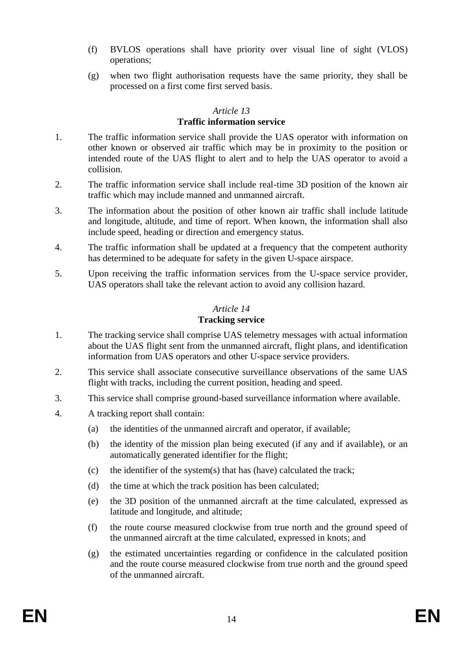- (f) BVLOS operations shall have priority over visual line of sight (VLOS) operations;
- (g) when two flight authorisation requests have the same priority, they shall be processed on a first come first served basis.

# **Traffic information service**

- 1. The traffic information service shall provide the UAS operator with information on other known or observed air traffic which may be in proximity to the position or intended route of the UAS flight to alert and to help the UAS operator to avoid a collision.
- 2. The traffic information service shall include real-time 3D position of the known air traffic which may include manned and unmanned aircraft.
- 3. The information about the position of other known air traffic shall include latitude and longitude, altitude, and time of report. When known, the information shall also include speed, heading or direction and emergency status.
- 4. The traffic information shall be updated at a frequency that the competent authority has determined to be adequate for safety in the given U-space airspace.
- 5. Upon receiving the traffic information services from the U-space service provider, UAS operators shall take the relevant action to avoid any collision hazard.

# *Article 14*

# **Tracking service**

- 1. The tracking service shall comprise UAS telemetry messages with actual information about the UAS flight sent from the unmanned aircraft, flight plans, and identification information from UAS operators and other U-space service providers.
- 2. This service shall associate consecutive surveillance observations of the same UAS flight with tracks, including the current position, heading and speed.
- 3. This service shall comprise ground-based surveillance information where available.
- 4. A tracking report shall contain:
	- (a) the identities of the unmanned aircraft and operator, if available;
	- (b) the identity of the mission plan being executed (if any and if available), or an automatically generated identifier for the flight;
	- (c) the identifier of the system(s) that has (have) calculated the track;
	- (d) the time at which the track position has been calculated;
	- (e) the 3D position of the unmanned aircraft at the time calculated, expressed as latitude and longitude, and altitude;
	- (f) the route course measured clockwise from true north and the ground speed of the unmanned aircraft at the time calculated, expressed in knots; and
	- (g) the estimated uncertainties regarding or confidence in the calculated position and the route course measured clockwise from true north and the ground speed of the unmanned aircraft.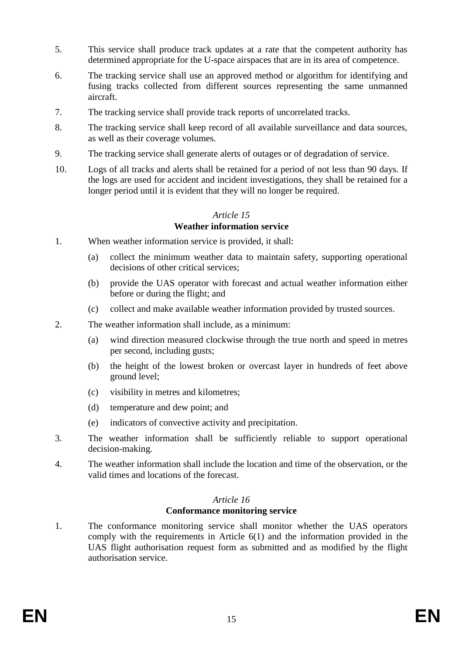- 5. This service shall produce track updates at a rate that the competent authority has determined appropriate for the U-space airspaces that are in its area of competence.
- 6. The tracking service shall use an approved method or algorithm for identifying and fusing tracks collected from different sources representing the same unmanned aircraft.
- 7. The tracking service shall provide track reports of uncorrelated tracks.
- 8. The tracking service shall keep record of all available surveillance and data sources, as well as their coverage volumes.
- 9. The tracking service shall generate alerts of outages or of degradation of service.
- 10. Logs of all tracks and alerts shall be retained for a period of not less than 90 days. If the logs are used for accident and incident investigations, they shall be retained for a longer period until it is evident that they will no longer be required.

### **Weather information service**

- 1. When weather information service is provided, it shall:
	- (a) collect the minimum weather data to maintain safety, supporting operational decisions of other critical services;
	- (b) provide the UAS operator with forecast and actual weather information either before or during the flight; and
	- (c) collect and make available weather information provided by trusted sources.
- 2. The weather information shall include, as a minimum:
	- (a) wind direction measured clockwise through the true north and speed in metres per second, including gusts;
	- (b) the height of the lowest broken or overcast layer in hundreds of feet above ground level;
	- (c) visibility in metres and kilometres;
	- (d) temperature and dew point; and
	- (e) indicators of convective activity and precipitation.
- 3. The weather information shall be sufficiently reliable to support operational decision-making.
- 4. The weather information shall include the location and time of the observation, or the valid times and locations of the forecast.

# *Article 16*

# **Conformance monitoring service**

1. The conformance monitoring service shall monitor whether the UAS operators comply with the requirements in Article 6(1) and the information provided in the UAS flight authorisation request form as submitted and as modified by the flight authorisation service.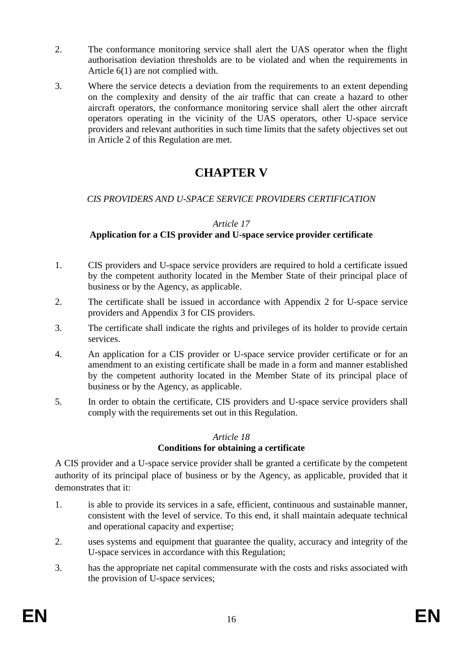- 2. The conformance monitoring service shall alert the UAS operator when the flight authorisation deviation thresholds are to be violated and when the requirements in Article 6(1) are not complied with.
- 3. Where the service detects a deviation from the requirements to an extent depending on the complexity and density of the air traffic that can create a hazard to other aircraft operators, the conformance monitoring service shall alert the other aircraft operators operating in the vicinity of the UAS operators, other U-space service providers and relevant authorities in such time limits that the safety objectives set out in Article 2 of this Regulation are met.

# **CHAPTER V**

# *CIS PROVIDERS AND U-SPACE SERVICE PROVIDERS CERTIFICATION*

### *Article 17*

# **Application for a CIS provider and U-space service provider certificate**

- 1. CIS providers and U-space service providers are required to hold a certificate issued by the competent authority located in the Member State of their principal place of business or by the Agency, as applicable.
- 2. The certificate shall be issued in accordance with Appendix 2 for U-space service providers and Appendix 3 for CIS providers.
- 3. The certificate shall indicate the rights and privileges of its holder to provide certain services.
- 4. An application for a CIS provider or U-space service provider certificate or for an amendment to an existing certificate shall be made in a form and manner established by the competent authority located in the Member State of its principal place of business or by the Agency, as applicable.
- 5. In order to obtain the certificate, CIS providers and U-space service providers shall comply with the requirements set out in this Regulation.

# *Article 18*

# **Conditions for obtaining a certificate**

A CIS provider and a U-space service provider shall be granted a certificate by the competent authority of its principal place of business or by the Agency, as applicable, provided that it demonstrates that it:

- 1. is able to provide its services in a safe, efficient, continuous and sustainable manner, consistent with the level of service. To this end, it shall maintain adequate technical and operational capacity and expertise;
- 2. uses systems and equipment that guarantee the quality, accuracy and integrity of the U-space services in accordance with this Regulation;
- 3. has the appropriate net capital commensurate with the costs and risks associated with the provision of U-space services;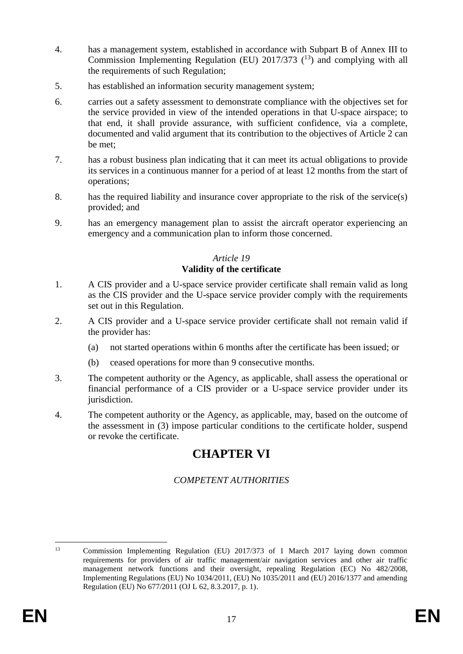- 4. has a management system, established in accordance with Subpart B of Annex III to Commission Implementing Regulation (EU)  $2017/373$  (<sup>13</sup>) and complying with all the requirements of such Regulation;
- 5. has established an information security management system;
- 6. carries out a safety assessment to demonstrate compliance with the objectives set for the service provided in view of the intended operations in that U-space airspace; to that end, it shall provide assurance, with sufficient confidence, via a complete, documented and valid argument that its contribution to the objectives of Article 2 can be met;
- 7. has a robust business plan indicating that it can meet its actual obligations to provide its services in a continuous manner for a period of at least 12 months from the start of operations;
- 8. has the required liability and insurance cover appropriate to the risk of the service(s) provided; and
- 9. has an emergency management plan to assist the aircraft operator experiencing an emergency and a communication plan to inform those concerned.

# *Article 19* **Validity of the certificate**

- 1. A CIS provider and a U-space service provider certificate shall remain valid as long as the CIS provider and the U-space service provider comply with the requirements set out in this Regulation.
- 2. A CIS provider and a U-space service provider certificate shall not remain valid if the provider has:
	- (a) not started operations within 6 months after the certificate has been issued; or
	- (b) ceased operations for more than 9 consecutive months.
- 3. The competent authority or the Agency, as applicable, shall assess the operational or financial performance of a CIS provider or a U-space service provider under its jurisdiction.
- 4. The competent authority or the Agency, as applicable, may, based on the outcome of the assessment in (3) impose particular conditions to the certificate holder, suspend or revoke the certificate.

# **CHAPTER VI**

# *COMPETENT AUTHORITIES*

 $13$ 

<sup>13</sup> Commission Implementing Regulation (EU) 2017/373 of 1 March 2017 laying down common requirements for providers of air traffic management/air navigation services and other air traffic management network functions and their oversight, repealing Regulation (EC) No 482/2008, Implementing Regulations (EU) No 1034/2011, (EU) No 1035/2011 and (EU) 2016/1377 and amending Regulation (EU) No 677/2011 (OJ L 62, 8.3.2017, p. 1).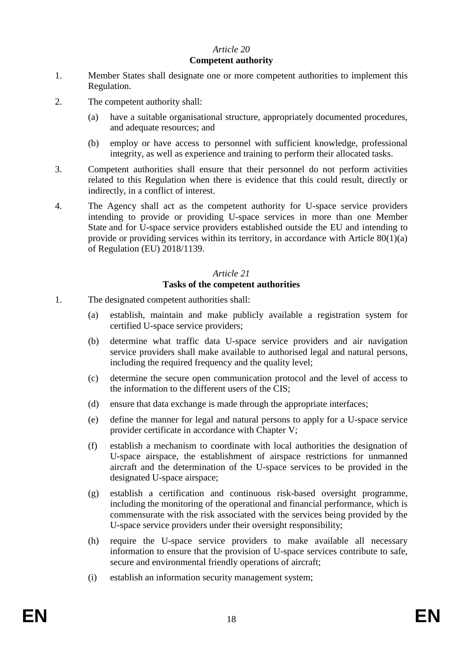### **Competent authority**

- 1. Member States shall designate one or more competent authorities to implement this Regulation.
- 2. The competent authority shall:
	- (a) have a suitable organisational structure, appropriately documented procedures, and adequate resources; and
	- (b) employ or have access to personnel with sufficient knowledge, professional integrity, as well as experience and training to perform their allocated tasks.
- 3. Competent authorities shall ensure that their personnel do not perform activities related to this Regulation when there is evidence that this could result, directly or indirectly, in a conflict of interest.
- 4. The Agency shall act as the competent authority for U-space service providers intending to provide or providing U-space services in more than one Member State and for U-space service providers established outside the EU and intending to provide or providing services within its territory, in accordance with Article 80(1)(a) of Regulation (EU) 2018/1139.

#### *Article 21*

### **Tasks of the competent authorities**

- 1. The designated competent authorities shall:
	- (a) establish, maintain and make publicly available a registration system for certified U-space service providers;
	- (b) determine what traffic data U-space service providers and air navigation service providers shall make available to authorised legal and natural persons, including the required frequency and the quality level;
	- (c) determine the secure open communication protocol and the level of access to the information to the different users of the CIS;
	- (d) ensure that data exchange is made through the appropriate interfaces;
	- (e) define the manner for legal and natural persons to apply for a U-space service provider certificate in accordance with Chapter V;
	- (f) establish a mechanism to coordinate with local authorities the designation of U-space airspace, the establishment of airspace restrictions for unmanned aircraft and the determination of the U-space services to be provided in the designated U-space airspace;
	- (g) establish a certification and continuous risk-based oversight programme, including the monitoring of the operational and financial performance, which is commensurate with the risk associated with the services being provided by the U-space service providers under their oversight responsibility;
	- (h) require the U-space service providers to make available all necessary information to ensure that the provision of U-space services contribute to safe, secure and environmental friendly operations of aircraft;
	- (i) establish an information security management system;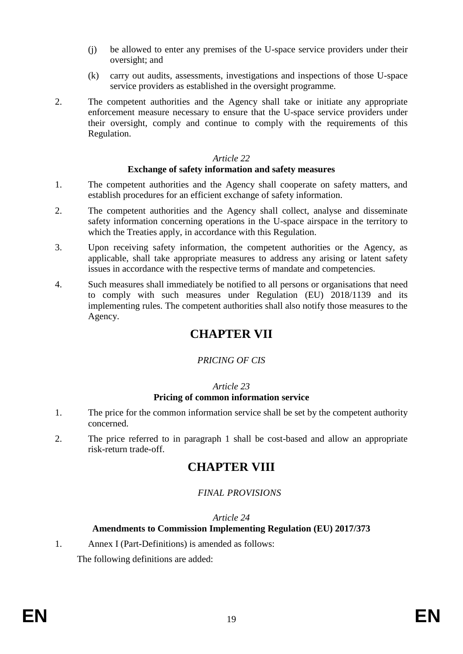- (j) be allowed to enter any premises of the U-space service providers under their oversight; and
- (k) carry out audits, assessments, investigations and inspections of those U-space service providers as established in the oversight programme.
- 2. The competent authorities and the Agency shall take or initiate any appropriate enforcement measure necessary to ensure that the U-space service providers under their oversight, comply and continue to comply with the requirements of this Regulation.

# **Exchange of safety information and safety measures**

- 1. The competent authorities and the Agency shall cooperate on safety matters, and establish procedures for an efficient exchange of safety information.
- 2. The competent authorities and the Agency shall collect, analyse and disseminate safety information concerning operations in the U-space airspace in the territory to which the Treaties apply, in accordance with this Regulation.
- 3. Upon receiving safety information, the competent authorities or the Agency, as applicable, shall take appropriate measures to address any arising or latent safety issues in accordance with the respective terms of mandate and competencies.
- 4. Such measures shall immediately be notified to all persons or organisations that need to comply with such measures under Regulation (EU) 2018/1139 and its implementing rules. The competent authorities shall also notify those measures to the Agency.

# **CHAPTER VII**

# *PRICING OF CIS*

# *Article 23*

# **Pricing of common information service**

- 1. The price for the common information service shall be set by the competent authority concerned.
- 2. The price referred to in paragraph 1 shall be cost-based and allow an appropriate risk-return trade-off.

# **CHAPTER VIII**

# *FINAL PROVISIONS*

# *Article 24*

# **Amendments to Commission Implementing Regulation (EU) 2017/373**

1. Annex I (Part-Definitions) is amended as follows:

The following definitions are added: